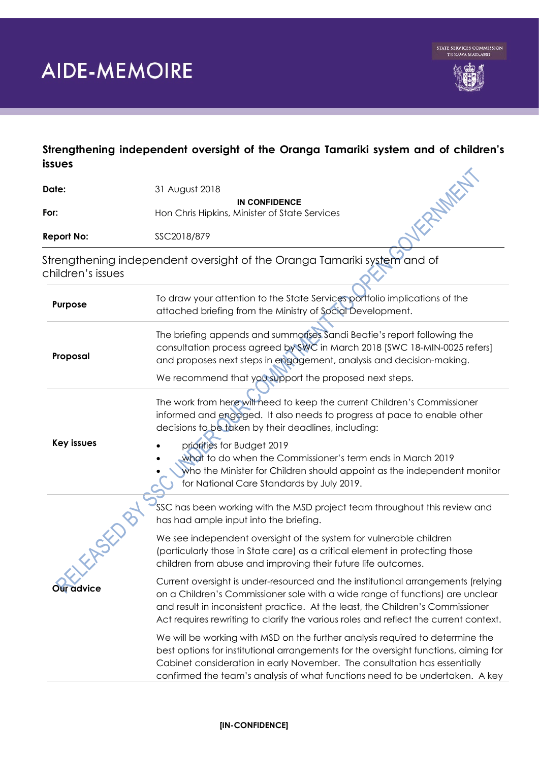

## **Strengthening independent oversight of the Oranga Tamariki system and of children's issues**   $\overline{\mathbf{X}}$

| Date:                                                                                         | <b>FRANKE</b><br>31 August 2018                                                                                                                                                                                                                                                                                                                                                                                                 |
|-----------------------------------------------------------------------------------------------|---------------------------------------------------------------------------------------------------------------------------------------------------------------------------------------------------------------------------------------------------------------------------------------------------------------------------------------------------------------------------------------------------------------------------------|
| For:                                                                                          | <b>IN CONFIDENCE</b><br>Hon Chris Hipkins, Minister of State Services                                                                                                                                                                                                                                                                                                                                                           |
| <b>Report No:</b>                                                                             | SSC2018/879                                                                                                                                                                                                                                                                                                                                                                                                                     |
| Strengthening independent oversight of the Oranga Tamariki system and of<br>children's issues |                                                                                                                                                                                                                                                                                                                                                                                                                                 |
| Purpose                                                                                       | To draw your attention to the State Services portfolio implications of the<br>attached briefing from the Ministry of Social Development.                                                                                                                                                                                                                                                                                        |
| Proposal                                                                                      | The briefing appends and summarises Sandi Beatie's report following the<br>consultation process agreed by SWC in March 2018 [SWC 18-MIN-0025 refers]<br>and proposes next steps in engagement, analysis and decision-making.<br>We recommend that you support the proposed next steps.                                                                                                                                          |
| <b>Key issues</b>                                                                             | The work from here will need to keep the current Children's Commissioner<br>informed and engaged. It also needs to progress at pace to enable other<br>decisions to be taken by their deadlines, including:<br>priorities for Budget 2019<br>what to do when the Commissioner's term ends in March 2019<br>who the Minister for Children should appoint as the independent monitor<br>for National Care Standards by July 2019. |
| ELERGEDAY                                                                                     | SSC has been working with the MSD project team throughout this review and<br>has had ample input into the briefing.<br>We see independent oversight of the system for vulnerable children<br>(particularly those in State care) as a critical element in protecting those<br>children from abuse and improving their future life outcomes.                                                                                      |
| <b>Our advice</b>                                                                             | Current oversight is under-resourced and the institutional arrangements (relying<br>on a Children's Commissioner sole with a wide range of functions) are unclear<br>and result in inconsistent practice. At the least, the Children's Commissioner                                                                                                                                                                             |
|                                                                                               | Act requires rewriting to clarify the various roles and reflect the current context.<br>We will be working with MSD on the further analysis required to determine the<br>best options for institutional arrangements for the oversight functions, aiming for<br>Cabinet consideration in early November. The consultation has essentially<br>confirmed the team's analysis of what functions need to be undertaken. A key       |

## **[IN-CONFIDENCE]**